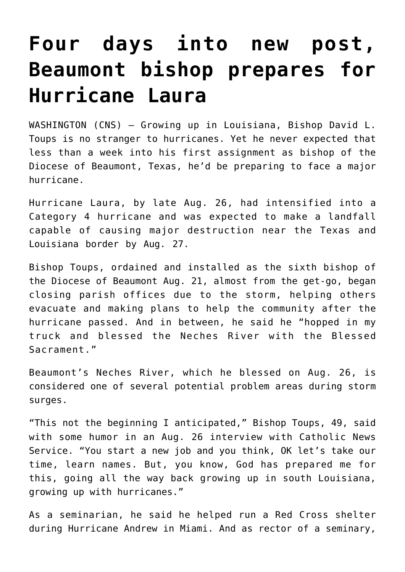## **[Four days into new post,](https://www.osvnews.com/amp/2020/08/27/four-days-into-new-post-beaumont-bishop-prepares-for-hurricane-laura/) [Beaumont bishop prepares for](https://www.osvnews.com/amp/2020/08/27/four-days-into-new-post-beaumont-bishop-prepares-for-hurricane-laura/) [Hurricane Laura](https://www.osvnews.com/amp/2020/08/27/four-days-into-new-post-beaumont-bishop-prepares-for-hurricane-laura/)**

WASHINGTON (CNS) — Growing up in Louisiana, Bishop David L. Toups is no stranger to hurricanes. Yet he never expected that less than a week into his first assignment as bishop of the Diocese of Beaumont, Texas, he'd be preparing to face a major hurricane.

Hurricane Laura, by late Aug. 26, had intensified into a Category 4 hurricane and was expected to make a landfall capable of causing major destruction near the Texas and Louisiana border by Aug. 27.

Bishop Toups, ordained and installed as the sixth bishop of the Diocese of Beaumont Aug. 21, almost from the get-go, began closing parish offices due to the storm, helping others evacuate and making plans to help the community after the hurricane passed. And in between, he said he "hopped in my truck and blessed the Neches River with the Blessed Sacrament."

Beaumont's Neches River, which he blessed on Aug. 26, is considered one of several potential problem areas during storm surges.

"This not the beginning I anticipated," Bishop Toups, 49, said with some humor in an Aug. 26 interview with Catholic News Service. "You start a new job and you think, OK let's take our time, learn names. But, you know, God has prepared me for this, going all the way back growing up in south Louisiana, growing up with hurricanes."

As a seminarian, he said he helped run a Red Cross shelter during Hurricane Andrew in Miami. And as rector of a seminary,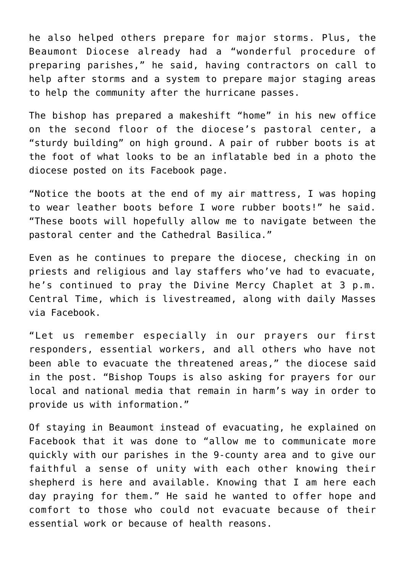he also helped others prepare for major storms. Plus, the Beaumont Diocese already had a "wonderful procedure of preparing parishes," he said, having contractors on call to help after storms and a system to prepare major staging areas to help the community after the hurricane passes.

The bishop has prepared a makeshift "home" in his new office on the second floor of the diocese's pastoral center, a "sturdy building" on high ground. A pair of rubber boots is at the foot of what looks to be an inflatable bed in a photo the diocese posted on its Facebook page.

"Notice the boots at the end of my air mattress, I was hoping to wear leather boots before I wore rubber boots!" he said. "These boots will hopefully allow me to navigate between the pastoral center and the Cathedral Basilica."

Even as he continues to prepare the diocese, checking in on priests and religious and lay staffers who've had to evacuate, he's continued to pray the Divine Mercy Chaplet at 3 p.m. Central Time, which is livestreamed, along with daily Masses via Facebook.

"Let us remember especially in our prayers our first responders, essential workers, and all others who have not been able to evacuate the threatened areas," the diocese said in the post. "Bishop Toups is also asking for prayers for our local and national media that remain in harm's way in order to provide us with information."

Of staying in Beaumont instead of evacuating, he explained on Facebook that it was done to "allow me to communicate more quickly with our parishes in the 9-county area and to give our faithful a sense of unity with each other knowing their shepherd is here and available. Knowing that I am here each day praying for them." He said he wanted to offer hope and comfort to those who could not evacuate because of their essential work or because of health reasons.